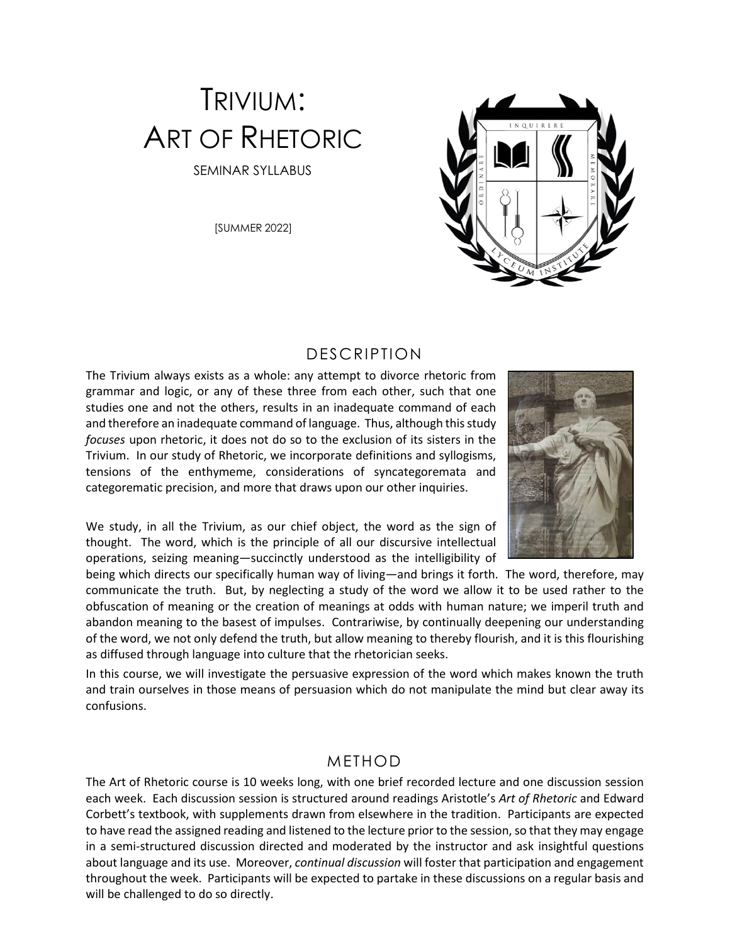# TRIVIUM: ART OF RHETORIC SEMINAR SYLLABUS

[SUMMER 2022]

## DESCRIPTION

The Trivium always exists as a whole: any attempt to divorce rhetoric from grammar and logic, or any of these three from each other, such that one studies one and not the others, results in an inadequate command of each and therefore an inadequate command of language. Thus, although this study *focuses* upon rhetoric, it does not do so to the exclusion of its sisters in the Trivium. In our study of Rhetoric, we incorporate definitions and syllogisms, tensions of the enthymeme, considerations of syncategoremata and categorematic precision, and more that draws upon our other inquiries.

We study, in all the Trivium, as our chief object, the word as the sign of thought. The word, which is the principle of all our discursive intellectual operations, seizing meaning—succinctly understood as the intelligibility of

being which directs our specifically human way of living—and brings it forth. The word, therefore, may communicate the truth. But, by neglecting a study of the word we allow it to be used rather to the obfuscation of meaning or the creation of meanings at odds with human nature; we imperil truth and abandon meaning to the basest of impulses. Contrariwise, by continually deepening our understanding of the word, we not only defend the truth, but allow meaning to thereby flourish, and it is this flourishing as diffused through language into culture that the rhetorician seeks.

In this course, we will investigate the persuasive expression of the word which makes known the truth and train ourselves in those means of persuasion which do not manipulate the mind but clear away its confusions.

#### METHOD

The Art of Rhetoric course is 10 weeks long, with one brief recorded lecture and one discussion session each week. Each discussion session is structured around readings Aristotle's *Art of Rhetoric* and Edward Corbett's textbook, with supplements drawn from elsewhere in the tradition. Participants are expected to have read the assigned reading and listened to the lecture prior to the session, so that they may engage in a semi-structured discussion directed and moderated by the instructor and ask insightful questions about language and its use. Moreover, *continual discussion* will foster that participation and engagement throughout the week. Participants will be expected to partake in these discussions on a regular basis and will be challenged to do so directly.

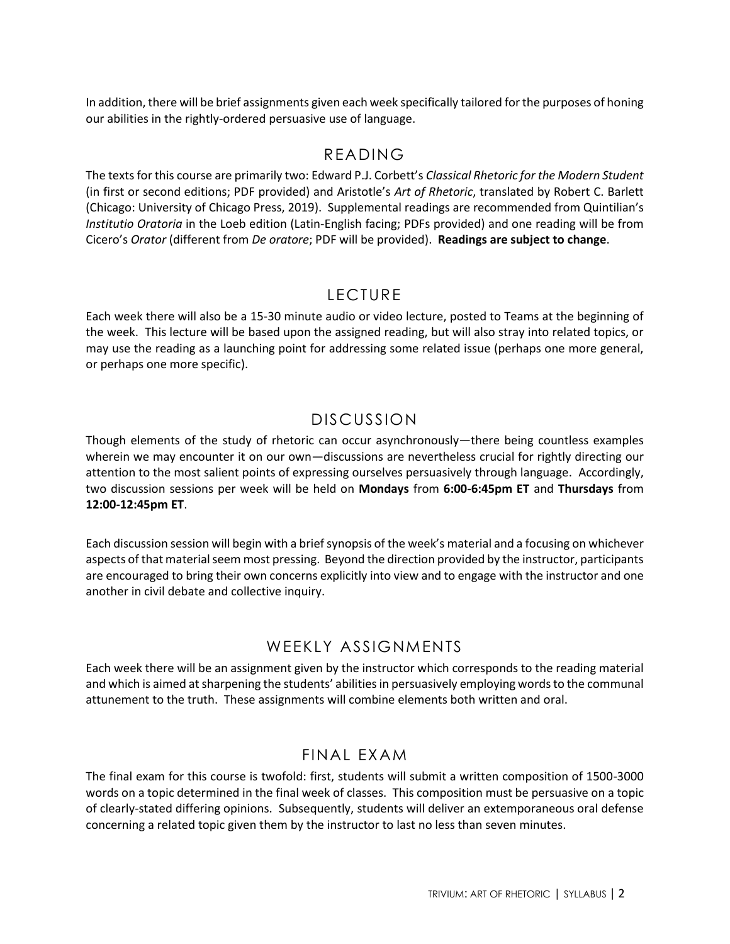In addition, there will be brief assignments given each week specifically tailored for the purposes of honing our abilities in the rightly-ordered persuasive use of language.

#### READING

The texts for this course are primarily two: Edward P.J. Corbett's *Classical Rhetoric for the Modern Student* (in first or second editions; PDF provided) and Aristotle's *Art of Rhetoric*, translated by Robert C. Barlett (Chicago: University of Chicago Press, 2019). Supplemental readings are recommended from Quintilian's *Institutio Oratoria* in the Loeb edition (Latin-English facing; PDFs provided) and one reading will be from Cicero's *Orator* (different from *De oratore*; PDF will be provided). **Readings are subject to change**.

# LECTURE

Each week there will also be a 15-30 minute audio or video lecture, posted to Teams at the beginning of the week. This lecture will be based upon the assigned reading, but will also stray into related topics, or may use the reading as a launching point for addressing some related issue (perhaps one more general, or perhaps one more specific).

# DISCUSSION

Though elements of the study of rhetoric can occur asynchronously—there being countless examples wherein we may encounter it on our own—discussions are nevertheless crucial for rightly directing our attention to the most salient points of expressing ourselves persuasively through language. Accordingly, two discussion sessions per week will be held on **Mondays** from **6:00-6:45pm ET** and **Thursdays** from **12:00-12:45pm ET**.

Each discussion session will begin with a brief synopsis of the week's material and a focusing on whichever aspects of that material seem most pressing. Beyond the direction provided by the instructor, participants are encouraged to bring their own concerns explicitly into view and to engage with the instructor and one another in civil debate and collective inquiry.

## WEEKLY ASSIGNMENTS

Each week there will be an assignment given by the instructor which corresponds to the reading material and which is aimed at sharpening the students' abilities in persuasively employing words to the communal attunement to the truth. These assignments will combine elements both written and oral.

## FINAL EXAM

The final exam for this course is twofold: first, students will submit a written composition of 1500-3000 words on a topic determined in the final week of classes. This composition must be persuasive on a topic of clearly-stated differing opinions. Subsequently, students will deliver an extemporaneous oral defense concerning a related topic given them by the instructor to last no less than seven minutes.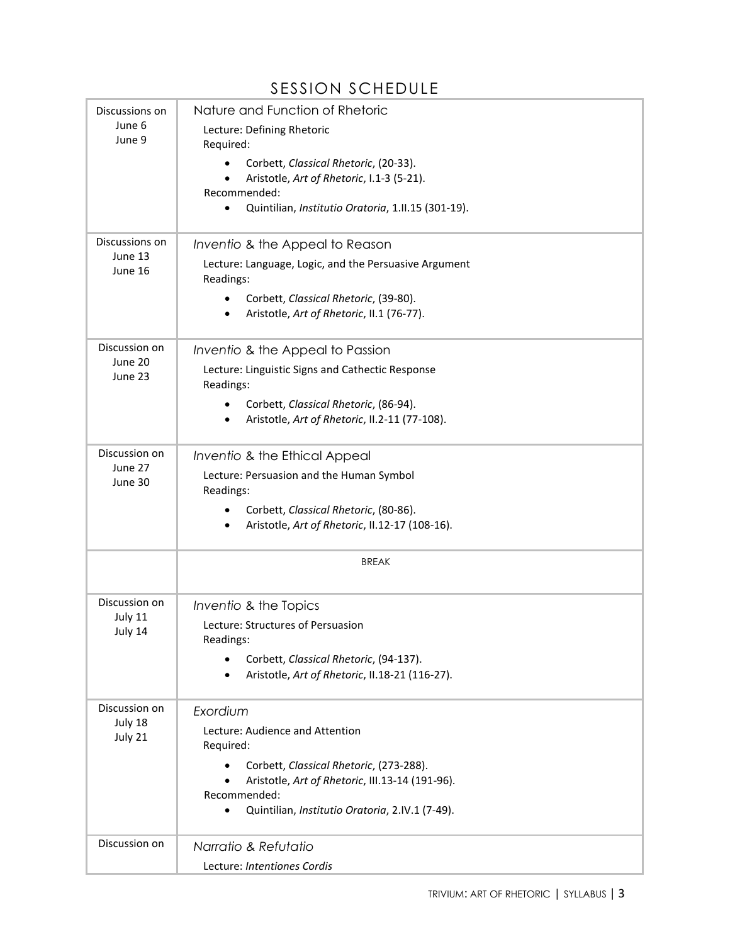# SESSION SCHEDULE

|                                      | 9 L 9 9 I V 1 1 9 V 1 I L D U L L                                               |
|--------------------------------------|---------------------------------------------------------------------------------|
| Discussions on<br>June 6<br>June 9   | Nature and Function of Rhetoric                                                 |
|                                      | Lecture: Defining Rhetoric<br>Required:                                         |
|                                      | Corbett, Classical Rhetoric, (20-33).                                           |
|                                      | Aristotle, Art of Rhetoric, I.1-3 (5-21).                                       |
|                                      | Recommended:<br>Quintilian, Institutio Oratoria, 1.II.15 (301-19).<br>$\bullet$ |
|                                      |                                                                                 |
| Discussions on<br>June 13<br>June 16 | Inventio & the Appeal to Reason                                                 |
|                                      | Lecture: Language, Logic, and the Persuasive Argument<br>Readings:              |
|                                      | Corbett, Classical Rhetoric, (39-80).                                           |
|                                      | Aristotle, Art of Rhetoric, II.1 (76-77).                                       |
| Discussion on<br>June 20<br>June 23  | Inventio & the Appeal to Passion                                                |
|                                      | Lecture: Linguistic Signs and Cathectic Response<br>Readings:                   |
|                                      | Corbett, Classical Rhetoric, (86-94).                                           |
|                                      | Aristotle, Art of Rhetoric, II.2-11 (77-108).                                   |
| Discussion on<br>June 27<br>June 30  | Inventio & the Ethical Appeal                                                   |
|                                      | Lecture: Persuasion and the Human Symbol<br>Readings:                           |
|                                      | Corbett, Classical Rhetoric, (80-86).                                           |
|                                      | Aristotle, Art of Rhetoric, II.12-17 (108-16).<br>$\bullet$                     |
|                                      | <b>BREAK</b>                                                                    |
| Discussion on<br>July 11<br>July 14  | Inventio & the Topics                                                           |
|                                      | Lecture: Structures of Persuasion<br>Readings:                                  |
|                                      | Corbett, Classical Rhetoric, (94-137).                                          |
|                                      | Aristotle, Art of Rhetoric, II.18-21 (116-27).                                  |
| Discussion on<br>July 18<br>July 21  | Exordium                                                                        |
|                                      | Lecture: Audience and Attention<br>Required:                                    |
|                                      | Corbett, Classical Rhetoric, (273-288).                                         |
|                                      | Aristotle, Art of Rhetoric, III.13-14 (191-96).                                 |
|                                      | Recommended:<br>Quintilian, Institutio Oratoria, 2.IV.1 (7-49).<br>$\bullet$    |
| Discussion on                        | Narratio & Refutatio                                                            |
|                                      | Lecture: Intentiones Cordis                                                     |